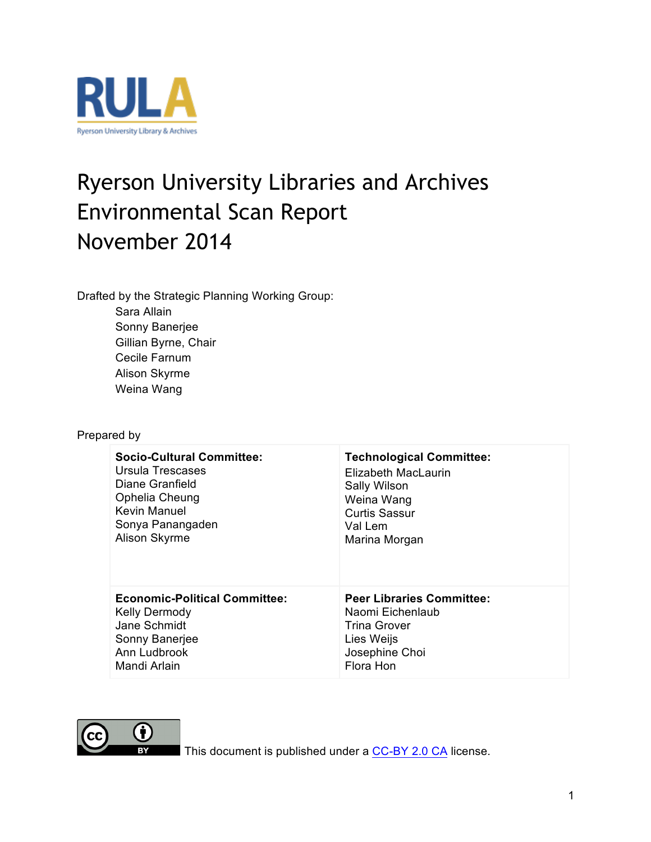

# Ryerson University Libraries and Archives Environmental Scan Report November 2014

Drafted by the Strategic Planning Working Group: Sara Allain

> Sonny Banerjee Gillian Byrne, Chair Cecile Farnum Alison Skyrme Weina Wang

#### Prepared by

| <b>Socio-Cultural Committee:</b>     | <b>Technological Committee:</b>  |
|--------------------------------------|----------------------------------|
| Ursula Trescases                     | Elizabeth MacLaurin              |
| Diane Granfield                      | Sally Wilson                     |
| Ophelia Cheung                       | Weina Wang                       |
| Kevin Manuel                         | <b>Curtis Sassur</b>             |
| Sonya Panangaden                     | Val Lem                          |
| Alison Skyrme                        | Marina Morgan                    |
| <b>Economic-Political Committee:</b> | <b>Peer Libraries Committee:</b> |
| <b>Kelly Dermody</b>                 | Naomi Eichenlaub                 |
| Jane Schmidt                         | Trina Grover                     |
| Sonny Banerjee                       | Lies Weijs                       |
| Ann Ludbrook                         | Josephine Choi                   |
| Mandi Arlain                         | Flora Hon                        |



This document is published under a CC-BY 2.0 CA license.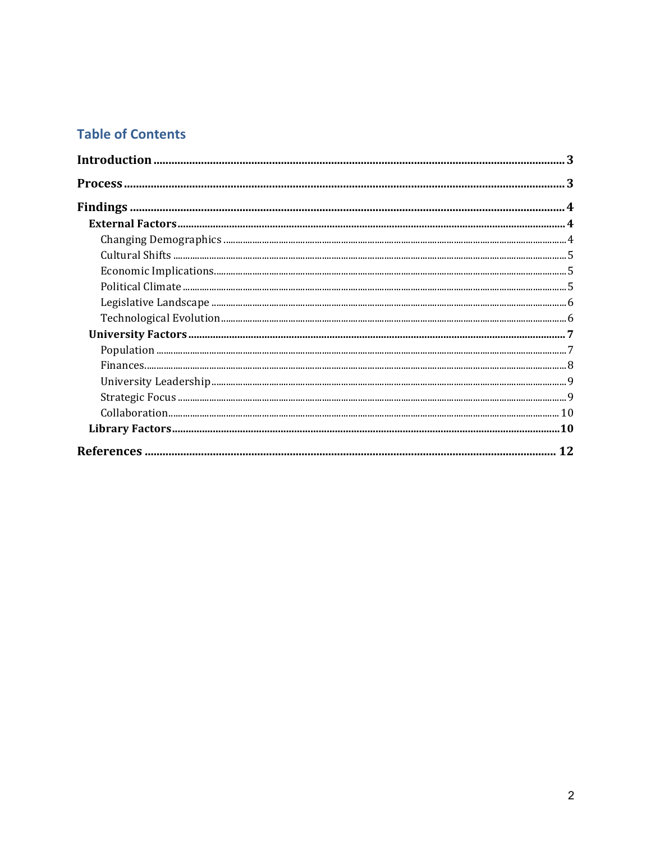### **Table of Contents**

| 3 |
|---|
|   |
|   |
|   |
|   |
|   |
|   |
|   |
|   |
|   |
|   |
|   |
|   |
|   |
|   |
|   |
|   |
|   |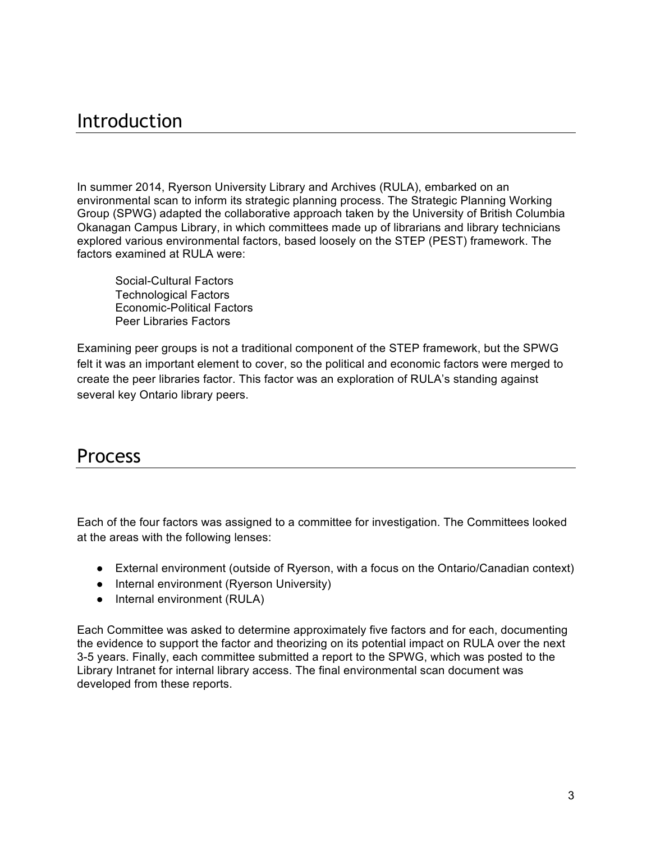# Introduction

In summer 2014, Ryerson University Library and Archives (RULA), embarked on an environmental scan to inform its strategic planning process. The Strategic Planning Working Group (SPWG) adapted the collaborative approach taken by the University of British Columbia Okanagan Campus Library, in which committees made up of librarians and library technicians explored various environmental factors, based loosely on the STEP (PEST) framework. The factors examined at RULA were:

Social-Cultural Factors Technological Factors Economic-Political Factors Peer Libraries Factors

Examining peer groups is not a traditional component of the STEP framework, but the SPWG felt it was an important element to cover, so the political and economic factors were merged to create the peer libraries factor. This factor was an exploration of RULA's standing against several key Ontario library peers.

## Process

Each of the four factors was assigned to a committee for investigation. The Committees looked at the areas with the following lenses:

- External environment (outside of Ryerson, with a focus on the Ontario/Canadian context)
- Internal environment (Ryerson University)
- Internal environment (RULA)

Each Committee was asked to determine approximately five factors and for each, documenting the evidence to support the factor and theorizing on its potential impact on RULA over the next 3-5 years. Finally, each committee submitted a report to the SPWG, which was posted to the Library Intranet for internal library access. The final environmental scan document was developed from these reports.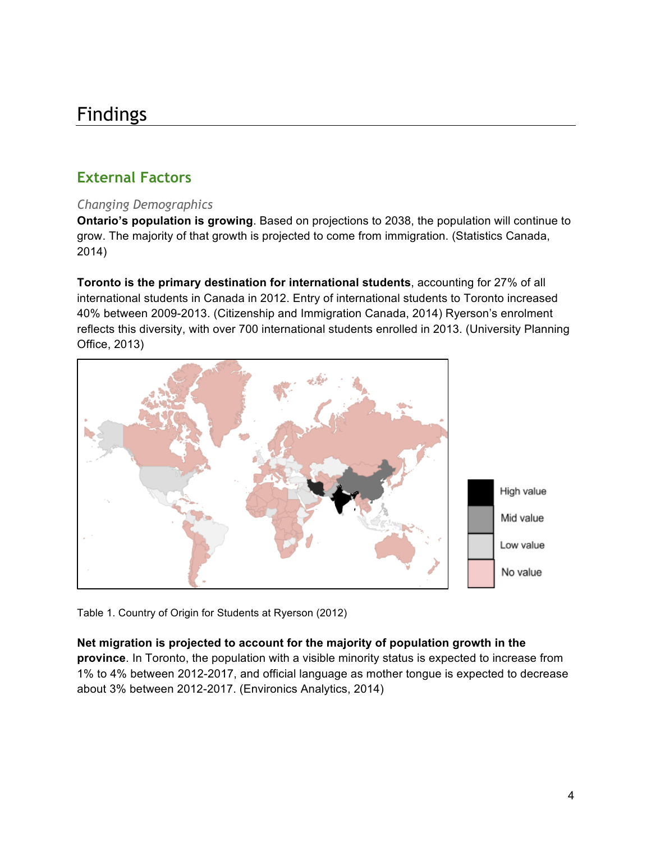# Findings

### **External Factors**

#### *Changing Demographics*

**Ontario's population is growing**. Based on projections to 2038, the population will continue to grow. The majority of that growth is projected to come from immigration. (Statistics Canada, 2014)

**Toronto is the primary destination for international students**, accounting for 27% of all international students in Canada in 2012. Entry of international students to Toronto increased 40% between 2009-2013. (Citizenship and Immigration Canada, 2014) Ryerson's enrolment reflects this diversity, with over 700 international students enrolled in 2013. (University Planning Office, 2013)



Table 1. Country of Origin for Students at Ryerson (2012)

#### **Net migration is projected to account for the majority of population growth in the**

**province**. In Toronto, the population with a visible minority status is expected to increase from 1% to 4% between 2012-2017, and official language as mother tongue is expected to decrease about 3% between 2012-2017. (Environics Analytics, 2014)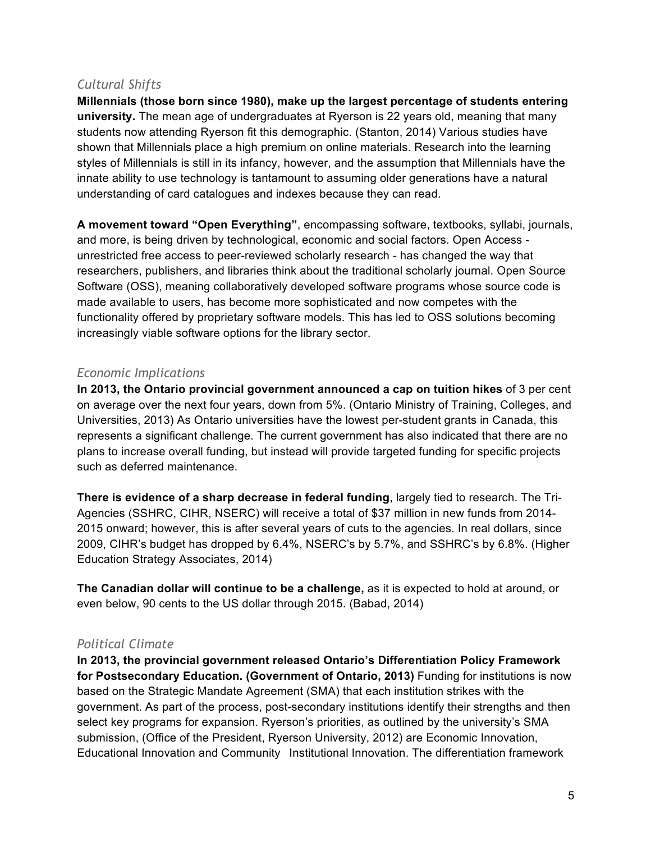#### *Cultural Shifts*

**Millennials (those born since 1980), make up the largest percentage of students entering university.** The mean age of undergraduates at Ryerson is 22 years old, meaning that many students now attending Ryerson fit this demographic. (Stanton, 2014) Various studies have shown that Millennials place a high premium on online materials. Research into the learning styles of Millennials is still in its infancy, however, and the assumption that Millennials have the innate ability to use technology is tantamount to assuming older generations have a natural understanding of card catalogues and indexes because they can read.

**A movement toward "Open Everything"**, encompassing software, textbooks, syllabi, journals, and more, is being driven by technological, economic and social factors. Open Access unrestricted free access to peer-reviewed scholarly research - has changed the way that researchers, publishers, and libraries think about the traditional scholarly journal. Open Source Software (OSS), meaning collaboratively developed software programs whose source code is made available to users, has become more sophisticated and now competes with the functionality offered by proprietary software models. This has led to OSS solutions becoming increasingly viable software options for the library sector.

#### *Economic Implications*

**In 2013, the Ontario provincial government announced a cap on tuition hikes** of 3 per cent on average over the next four years, down from 5%. (Ontario Ministry of Training, Colleges, and Universities, 2013) As Ontario universities have the lowest per-student grants in Canada, this represents a significant challenge. The current government has also indicated that there are no plans to increase overall funding, but instead will provide targeted funding for specific projects such as deferred maintenance.

**There is evidence of a sharp decrease in federal funding**, largely tied to research. The Tri-Agencies (SSHRC, CIHR, NSERC) will receive a total of \$37 million in new funds from 2014- 2015 onward; however, this is after several years of cuts to the agencies. In real dollars, since 2009, CIHR's budget has dropped by 6.4%, NSERC's by 5.7%, and SSHRC's by 6.8%. (Higher Education Strategy Associates, 2014)

**The Canadian dollar will continue to be a challenge,** as it is expected to hold at around, or even below, 90 cents to the US dollar through 2015. (Babad, 2014)

#### *Political Climate*

**In 2013, the provincial government released Ontario's Differentiation Policy Framework for Postsecondary Education. (Government of Ontario, 2013)** Funding for institutions is now based on the Strategic Mandate Agreement (SMA) that each institution strikes with the government. As part of the process, post-secondary institutions identify their strengths and then select key programs for expansion. Ryerson's priorities, as outlined by the university's SMA submission, (Office of the President, Ryerson University, 2012) are Economic Innovation, Educational Innovation and Community Institutional Innovation. The differentiation framework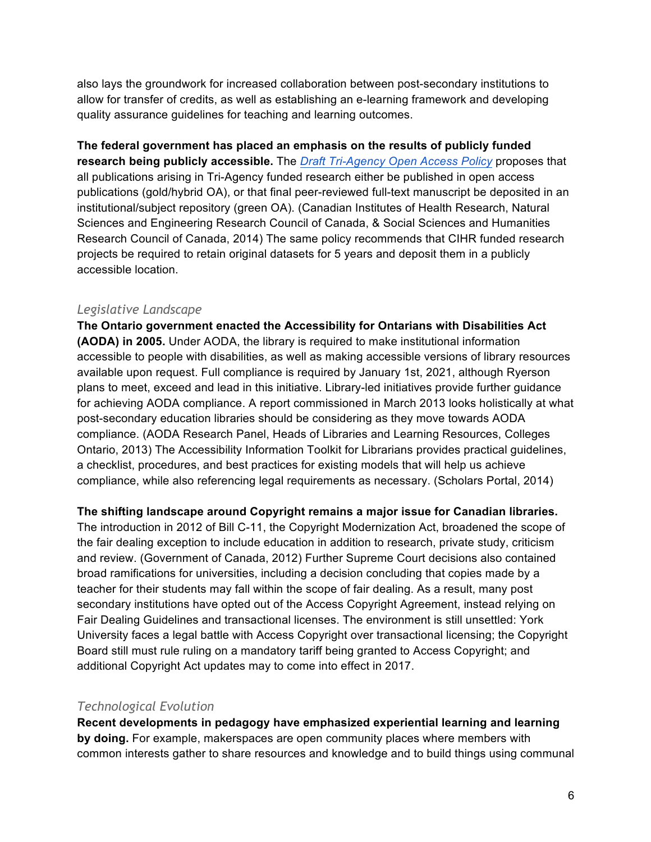also lays the groundwork for increased collaboration between post-secondary institutions to allow for transfer of credits, as well as establishing an e-learning framework and developing quality assurance guidelines for teaching and learning outcomes.

**The federal government has placed an emphasis on the results of publicly funded research being publicly accessible.** The *Draft Tri-Agency Open Access Policy* proposes that all publications arising in Tri-Agency funded research either be published in open access publications (gold/hybrid OA), or that final peer-reviewed full-text manuscript be deposited in an institutional/subject repository (green OA). (Canadian Institutes of Health Research, Natural Sciences and Engineering Research Council of Canada, & Social Sciences and Humanities Research Council of Canada, 2014) The same policy recommends that CIHR funded research projects be required to retain original datasets for 5 years and deposit them in a publicly accessible location.

#### *Legislative Landscape*

**The Ontario government enacted the Accessibility for Ontarians with Disabilities Act (AODA) in 2005.** Under AODA, the library is required to make institutional information accessible to people with disabilities, as well as making accessible versions of library resources available upon request. Full compliance is required by January 1st, 2021, although Ryerson plans to meet, exceed and lead in this initiative. Library-led initiatives provide further guidance for achieving AODA compliance. A report commissioned in March 2013 looks holistically at what post-secondary education libraries should be considering as they move towards AODA compliance. (AODA Research Panel, Heads of Libraries and Learning Resources, Colleges Ontario, 2013) The Accessibility Information Toolkit for Librarians provides practical guidelines, a checklist, procedures, and best practices for existing models that will help us achieve compliance, while also referencing legal requirements as necessary. (Scholars Portal, 2014)

#### **The shifting landscape around Copyright remains a major issue for Canadian libraries.**

The introduction in 2012 of Bill C-11, the Copyright Modernization Act, broadened the scope of the fair dealing exception to include education in addition to research, private study, criticism and review. (Government of Canada, 2012) Further Supreme Court decisions also contained broad ramifications for universities, including a decision concluding that copies made by a teacher for their students may fall within the scope of fair dealing. As a result, many post secondary institutions have opted out of the Access Copyright Agreement, instead relying on Fair Dealing Guidelines and transactional licenses. The environment is still unsettled: York University faces a legal battle with Access Copyright over transactional licensing; the Copyright Board still must rule ruling on a mandatory tariff being granted to Access Copyright; and additional Copyright Act updates may to come into effect in 2017.

#### *Technological Evolution*

**Recent developments in pedagogy have emphasized experiential learning and learning by doing.** For example, makerspaces are open community places where members with common interests gather to share resources and knowledge and to build things using communal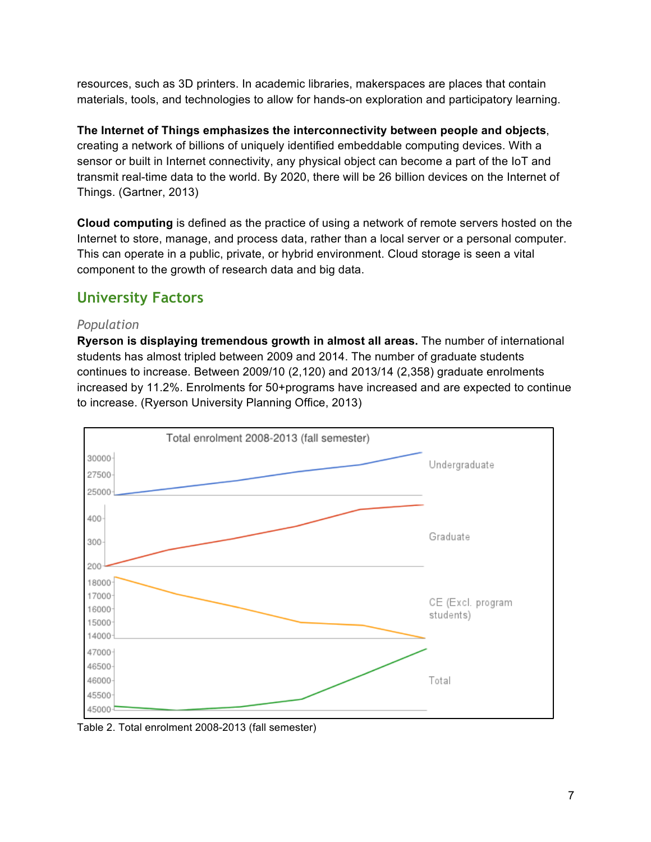resources, such as 3D printers. In academic libraries, makerspaces are places that contain materials, tools, and technologies to allow for hands-on exploration and participatory learning.

**The Internet of Things emphasizes the interconnectivity between people and objects**, creating a network of billions of uniquely identified embeddable computing devices. With a sensor or built in Internet connectivity, any physical object can become a part of the IoT and transmit real-time data to the world. By 2020, there will be 26 billion devices on the Internet of Things. (Gartner, 2013)

**Cloud computing** is defined as the practice of using a network of remote servers hosted on the Internet to store, manage, and process data, rather than a local server or a personal computer. This can operate in a public, private, or hybrid environment. Cloud storage is seen a vital component to the growth of research data and big data.

### **University Factors**

#### *Population*

**Ryerson is displaying tremendous growth in almost all areas.** The number of international students has almost tripled between 2009 and 2014. The number of graduate students continues to increase. Between 2009/10 (2,120) and 2013/14 (2,358) graduate enrolments increased by 11.2%. Enrolments for 50+programs have increased and are expected to continue to increase. (Ryerson University Planning Office, 2013)



Table 2. Total enrolment 2008-2013 (fall semester)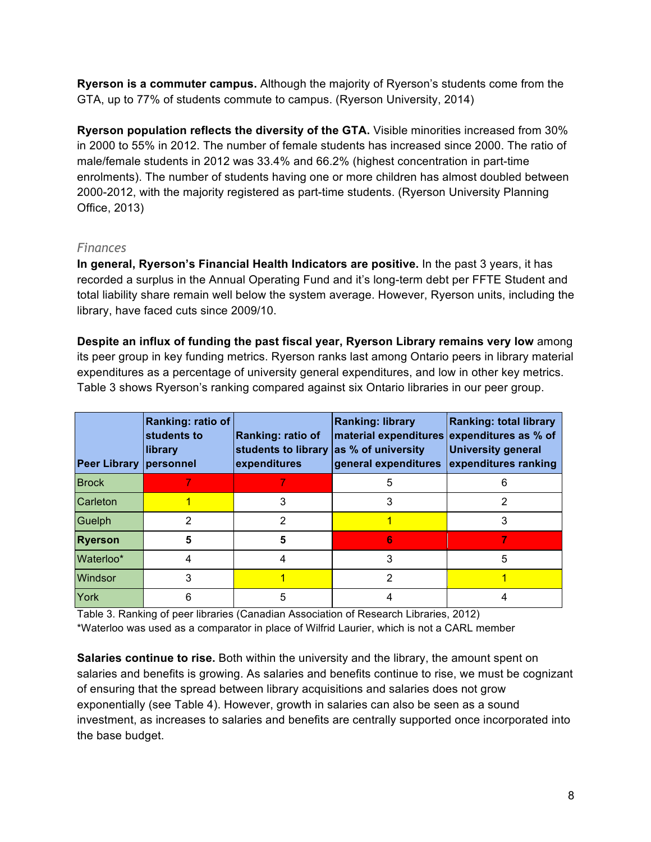**Ryerson is a commuter campus.** Although the majority of Ryerson's students come from the GTA, up to 77% of students commute to campus. (Ryerson University, 2014)

**Ryerson population reflects the diversity of the GTA.** Visible minorities increased from 30% in 2000 to 55% in 2012. The number of female students has increased since 2000. The ratio of male/female students in 2012 was 33.4% and 66.2% (highest concentration in part-time enrolments). The number of students having one or more children has almost doubled between 2000-2012, with the majority registered as part-time students. (Ryerson University Planning Office, 2013)

#### *Finances*

**In general, Ryerson's Financial Health Indicators are positive.** In the past 3 years, it has recorded a surplus in the Annual Operating Fund and it's long-term debt per FFTE Student and total liability share remain well below the system average. However, Ryerson units, including the library, have faced cuts since 2009/10.

**Despite an influx of funding the past fiscal year, Ryerson Library remains very low** among its peer group in key funding metrics. Ryerson ranks last among Ontario peers in library material expenditures as a percentage of university general expenditures, and low in other key metrics. Table 3 shows Ryerson's ranking compared against six Ontario libraries in our peer group.

| <b>Peer Library</b> | Ranking: ratio of<br>students to<br>library<br><i><b>personnel</b></i> | <b>Ranking: ratio of</b><br>students to library as % of university<br>expenditures | <b>Ranking: library</b><br>material expenditures expenditures as % of<br>general expenditures | <b>Ranking: total library</b><br><b>University general</b><br>expenditures ranking |
|---------------------|------------------------------------------------------------------------|------------------------------------------------------------------------------------|-----------------------------------------------------------------------------------------------|------------------------------------------------------------------------------------|
| <b>Brock</b>        |                                                                        |                                                                                    | 5                                                                                             |                                                                                    |
| Carleton            |                                                                        |                                                                                    |                                                                                               |                                                                                    |
| Guelph              |                                                                        | 2                                                                                  |                                                                                               | 3                                                                                  |
| <b>Ryerson</b>      |                                                                        |                                                                                    | 6                                                                                             |                                                                                    |
| Waterloo*           |                                                                        |                                                                                    |                                                                                               | 5                                                                                  |
| Windsor             |                                                                        |                                                                                    | 2                                                                                             |                                                                                    |
| York                |                                                                        | 5                                                                                  |                                                                                               |                                                                                    |

Table 3. Ranking of peer libraries (Canadian Association of Research Libraries, 2012) \*Waterloo was used as a comparator in place of Wilfrid Laurier, which is not a CARL member

**Salaries continue to rise.** Both within the university and the library, the amount spent on salaries and benefits is growing. As salaries and benefits continue to rise, we must be cognizant of ensuring that the spread between library acquisitions and salaries does not grow exponentially (see Table 4). However, growth in salaries can also be seen as a sound investment, as increases to salaries and benefits are centrally supported once incorporated into the base budget.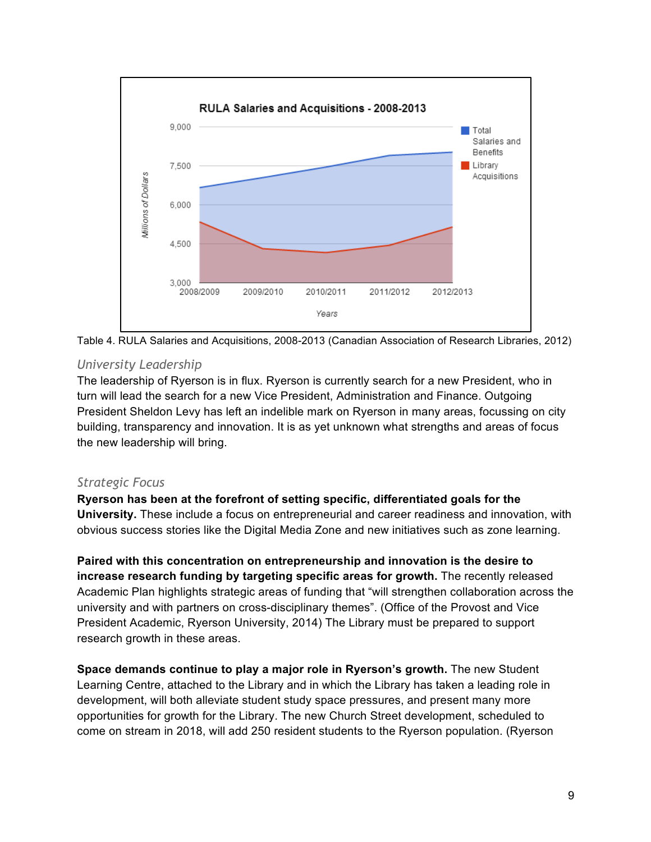



#### *University Leadership*

The leadership of Ryerson is in flux. Ryerson is currently search for a new President, who in turn will lead the search for a new Vice President, Administration and Finance. Outgoing President Sheldon Levy has left an indelible mark on Ryerson in many areas, focussing on city building, transparency and innovation. It is as yet unknown what strengths and areas of focus the new leadership will bring.

#### *Strategic Focus*

**Ryerson has been at the forefront of setting specific, differentiated goals for the University.** These include a focus on entrepreneurial and career readiness and innovation, with obvious success stories like the Digital Media Zone and new initiatives such as zone learning.

**Paired with this concentration on entrepreneurship and innovation is the desire to increase research funding by targeting specific areas for growth.** The recently released Academic Plan highlights strategic areas of funding that "will strengthen collaboration across the university and with partners on cross-disciplinary themes". (Office of the Provost and Vice President Academic, Ryerson University, 2014) The Library must be prepared to support research growth in these areas.

**Space demands continue to play a major role in Ryerson's growth.** The new Student Learning Centre, attached to the Library and in which the Library has taken a leading role in development, will both alleviate student study space pressures, and present many more opportunities for growth for the Library. The new Church Street development, scheduled to come on stream in 2018, will add 250 resident students to the Ryerson population. (Ryerson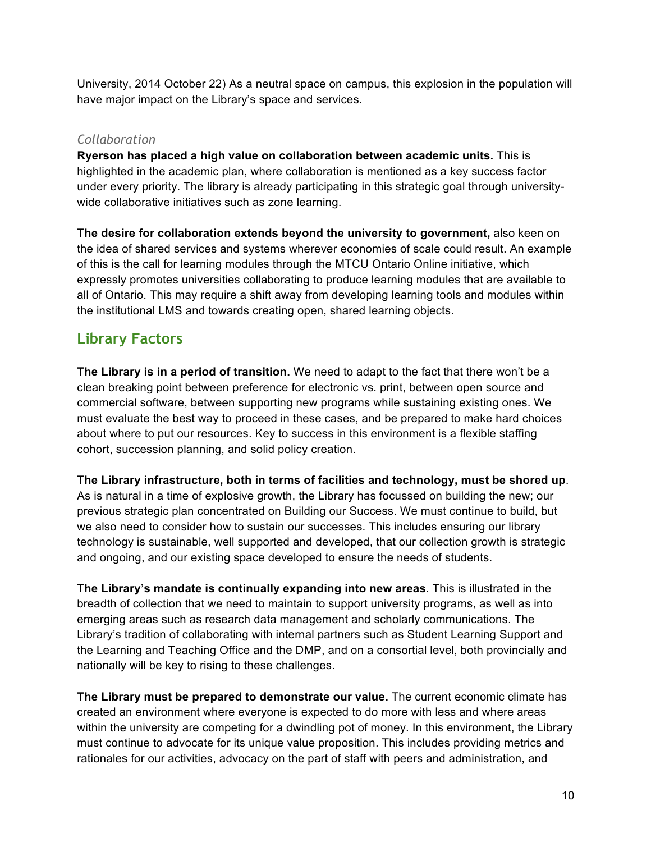University, 2014 October 22) As a neutral space on campus, this explosion in the population will have major impact on the Library's space and services.

#### *Collaboration*

**Ryerson has placed a high value on collaboration between academic units.** This is highlighted in the academic plan, where collaboration is mentioned as a key success factor under every priority. The library is already participating in this strategic goal through universitywide collaborative initiatives such as zone learning.

**The desire for collaboration extends beyond the university to government,** also keen on the idea of shared services and systems wherever economies of scale could result. An example of this is the call for learning modules through the MTCU Ontario Online initiative, which expressly promotes universities collaborating to produce learning modules that are available to all of Ontario. This may require a shift away from developing learning tools and modules within the institutional LMS and towards creating open, shared learning objects.

### **Library Factors**

**The Library is in a period of transition.** We need to adapt to the fact that there won't be a clean breaking point between preference for electronic vs. print, between open source and commercial software, between supporting new programs while sustaining existing ones. We must evaluate the best way to proceed in these cases, and be prepared to make hard choices about where to put our resources. Key to success in this environment is a flexible staffing cohort, succession planning, and solid policy creation.

**The Library infrastructure, both in terms of facilities and technology, must be shored up**. As is natural in a time of explosive growth, the Library has focussed on building the new; our previous strategic plan concentrated on Building our Success. We must continue to build, but we also need to consider how to sustain our successes. This includes ensuring our library technology is sustainable, well supported and developed, that our collection growth is strategic

and ongoing, and our existing space developed to ensure the needs of students.

**The Library's mandate is continually expanding into new areas**. This is illustrated in the breadth of collection that we need to maintain to support university programs, as well as into emerging areas such as research data management and scholarly communications. The Library's tradition of collaborating with internal partners such as Student Learning Support and the Learning and Teaching Office and the DMP, and on a consortial level, both provincially and nationally will be key to rising to these challenges.

**The Library must be prepared to demonstrate our value.** The current economic climate has created an environment where everyone is expected to do more with less and where areas within the university are competing for a dwindling pot of money. In this environment, the Library must continue to advocate for its unique value proposition. This includes providing metrics and rationales for our activities, advocacy on the part of staff with peers and administration, and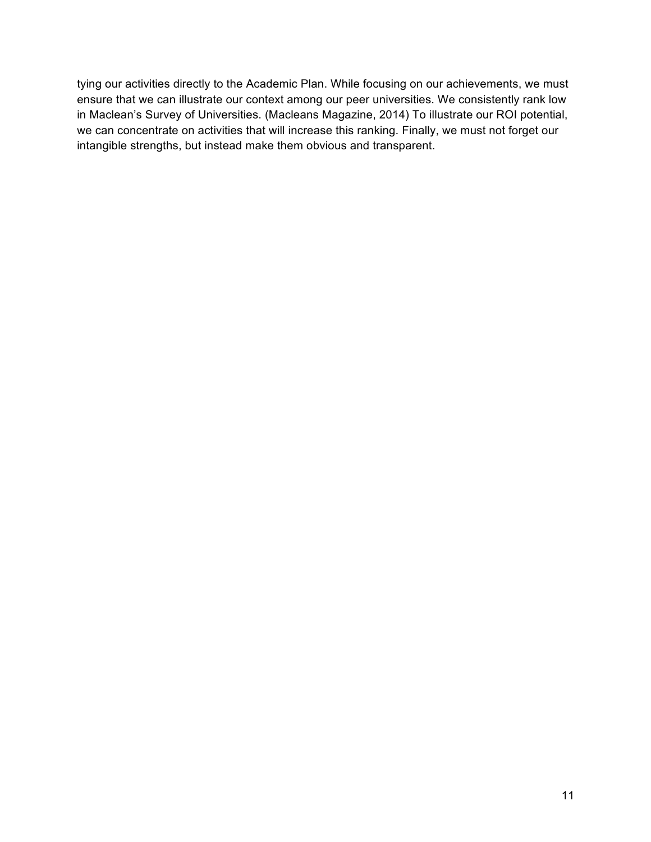tying our activities directly to the Academic Plan. While focusing on our achievements, we must ensure that we can illustrate our context among our peer universities. We consistently rank low in Maclean's Survey of Universities. (Macleans Magazine, 2014) To illustrate our ROI potential, we can concentrate on activities that will increase this ranking. Finally, we must not forget our intangible strengths, but instead make them obvious and transparent.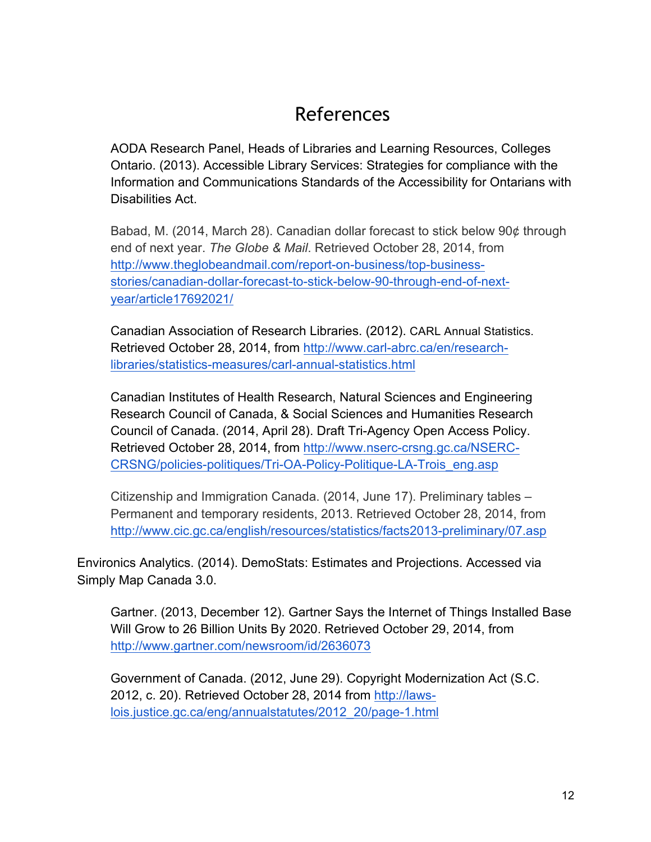# References

AODA Research Panel, Heads of Libraries and Learning Resources, Colleges Ontario. (2013). Accessible Library Services: Strategies for compliance with the Information and Communications Standards of the Accessibility for Ontarians with Disabilities Act.

Babad, M. (2014, March 28). Canadian dollar forecast to stick below 90¢ through end of next year. *The Globe & Mail*. Retrieved October 28, 2014, from http://www.theglobeandmail.com/report-on-business/top-businessstories/canadian-dollar-forecast-to-stick-below-90-through-end-of-nextyear/article17692021/

Canadian Association of Research Libraries. (2012). CARL Annual Statistics. Retrieved October 28, 2014, from http://www.carl-abrc.ca/en/researchlibraries/statistics-measures/carl-annual-statistics.html

Canadian Institutes of Health Research, Natural Sciences and Engineering Research Council of Canada, & Social Sciences and Humanities Research Council of Canada. (2014, April 28). Draft Tri-Agency Open Access Policy. Retrieved October 28, 2014, from http://www.nserc-crsng.gc.ca/NSERC-CRSNG/policies-politiques/Tri-OA-Policy-Politique-LA-Trois\_eng.asp

Citizenship and Immigration Canada. (2014, June 17). Preliminary tables – Permanent and temporary residents, 2013. Retrieved October 28, 2014, from http://www.cic.gc.ca/english/resources/statistics/facts2013-preliminary/07.asp

Environics Analytics. (2014). DemoStats: Estimates and Projections. Accessed via Simply Map Canada 3.0.

Gartner. (2013, December 12). Gartner Says the Internet of Things Installed Base Will Grow to 26 Billion Units By 2020. Retrieved October 29, 2014, from http://www.gartner.com/newsroom/id/2636073

Government of Canada. (2012, June 29). Copyright Modernization Act (S.C. 2012, c. 20). Retrieved October 28, 2014 from http://lawslois.justice.gc.ca/eng/annualstatutes/2012\_20/page-1.html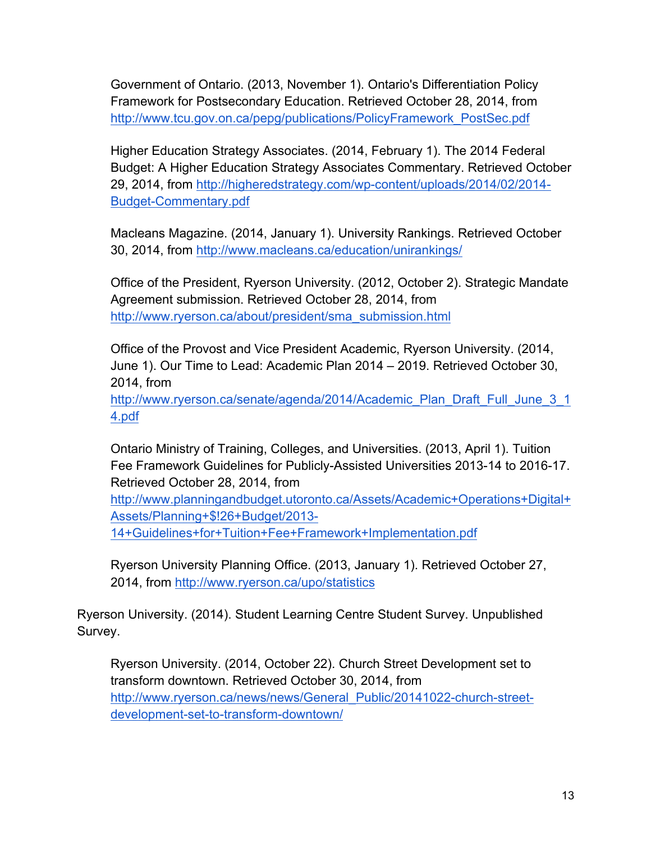Government of Ontario. (2013, November 1). Ontario's Differentiation Policy Framework for Postsecondary Education. Retrieved October 28, 2014, from http://www.tcu.gov.on.ca/pepg/publications/PolicyFramework\_PostSec.pdf

Higher Education Strategy Associates. (2014, February 1). The 2014 Federal Budget: A Higher Education Strategy Associates Commentary. Retrieved October 29, 2014, from http://higheredstrategy.com/wp-content/uploads/2014/02/2014- Budget-Commentary.pdf

Macleans Magazine. (2014, January 1). University Rankings. Retrieved October 30, 2014, from http://www.macleans.ca/education/unirankings/

Office of the President, Ryerson University. (2012, October 2). Strategic Mandate Agreement submission. Retrieved October 28, 2014, from http://www.ryerson.ca/about/president/sma\_submission.html

Office of the Provost and Vice President Academic, Ryerson University. (2014, June 1). Our Time to Lead: Academic Plan 2014 – 2019. Retrieved October 30, 2014, from

http://www.ryerson.ca/senate/agenda/2014/Academic\_Plan\_Draft\_Full\_June\_3\_1 4.pdf

Ontario Ministry of Training, Colleges, and Universities. (2013, April 1). Tuition Fee Framework Guidelines for Publicly-Assisted Universities 2013-14 to 2016-17. Retrieved October 28, 2014, from

http://www.planningandbudget.utoronto.ca/Assets/Academic+Operations+Digital+ Assets/Planning+\$!26+Budget/2013- 14+Guidelines+for+Tuition+Fee+Framework+Implementation.pdf

Ryerson University Planning Office. (2013, January 1). Retrieved October 27, 2014, from http://www.ryerson.ca/upo/statistics

Ryerson University. (2014). Student Learning Centre Student Survey. Unpublished Survey.

Ryerson University. (2014, October 22). Church Street Development set to transform downtown. Retrieved October 30, 2014, from http://www.ryerson.ca/news/news/General\_Public/20141022-church-streetdevelopment-set-to-transform-downtown/